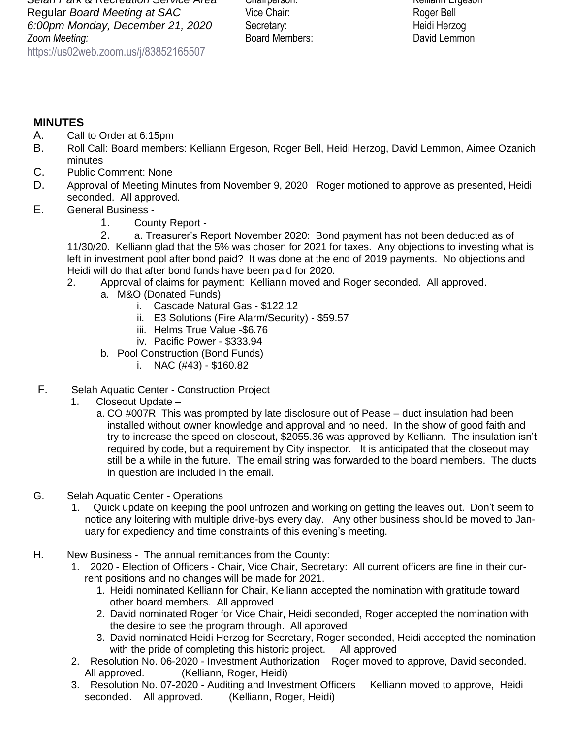## **MINUTES**

- A. Call to Order at 6:15pm
- B. Roll Call: Board members: Kelliann Ergeson, Roger Bell, Heidi Herzog, David Lemmon, Aimee Ozanich minutes
- C. Public Comment: None
- D. Approval of Meeting Minutes from November 9, 2020 Roger motioned to approve as presented, Heidi seconded. All approved.
- E. General Business
	- 1. County Report -

2. a. Treasurer's Report November 2020: Bond payment has not been deducted as of 11/30/20. Kelliann glad that the 5% was chosen for 2021 for taxes. Any objections to investing what is left in investment pool after bond paid? It was done at the end of 2019 payments. No objections and Heidi will do that after bond funds have been paid for 2020.

- 2. Approval of claims for payment: Kelliann moved and Roger seconded. All approved.
	- a. M&O (Donated Funds)
		- i. Cascade Natural Gas \$122.12
		- ii. E3 Solutions (Fire Alarm/Security) \$59.57
		- iii. Helms True Value -\$6.76
		- iv. Pacific Power \$333.94
	- b. Pool Construction (Bond Funds)
		- i. NAC (#43) \$160.82
- F. Selah Aquatic Center Construction Project
	- 1. Closeout Update
		- a. CO #007R This was prompted by late disclosure out of Pease duct insulation had been installed without owner knowledge and approval and no need. In the show of good faith and try to increase the speed on closeout, \$2055.36 was approved by Kelliann. The insulation isn't required by code, but a requirement by City inspector. It is anticipated that the closeout may still be a while in the future. The email string was forwarded to the board members. The ducts in question are included in the email.
- G. Selah Aquatic Center Operations
	- 1. Quick update on keeping the pool unfrozen and working on getting the leaves out. Don't seem to notice any loitering with multiple drive-bys every day. Any other business should be moved to January for expediency and time constraints of this evening's meeting.
- H. New Business The annual remittances from the County:
	- 1. 2020 Election of Officers Chair, Vice Chair, Secretary: All current officers are fine in their current positions and no changes will be made for 2021.
		- 1. Heidi nominated Kelliann for Chair, Kelliann accepted the nomination with gratitude toward other board members. All approved
		- 2. David nominated Roger for Vice Chair, Heidi seconded, Roger accepted the nomination with the desire to see the program through. All approved
		- 3. David nominated Heidi Herzog for Secretary, Roger seconded, Heidi accepted the nomination with the pride of completing this historic project. All approved
	- 2. Resolution No. 06-2020 Investment Authorization Roger moved to approve, David seconded. All approved. (Kelliann, Roger, Heidi)
	- 3. Resolution No. 07-2020 Auditing and Investment Officers Kelliann moved to approve, Heidi seconded. All approved. (Kelliann, Roger, Heidi)